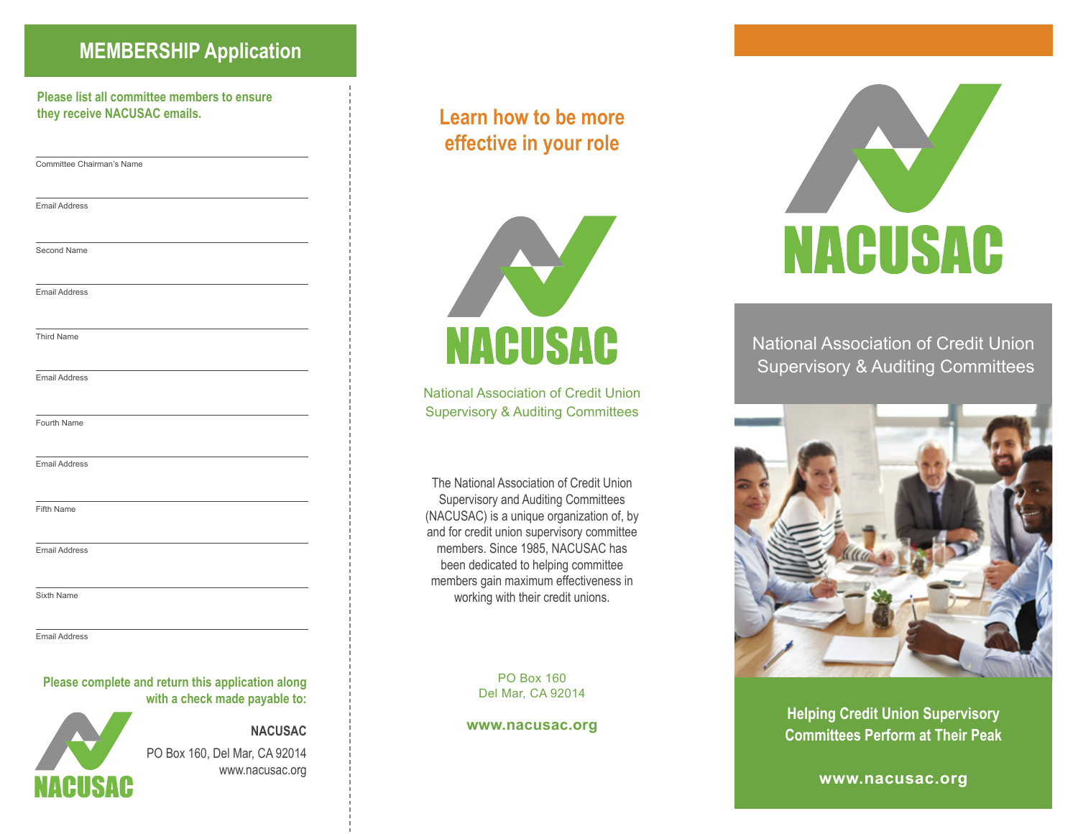### **MEMBERSHIP Application**

**Please list all committee members to ensure they receive NACUSAC emails.**

Committee Chairman's Name

Email Address

Second Name

Email Address

Third Name

Email Address

Fourth Name

Email Address

Fifth Name

Email Address

Sixth Name

Email Address

IACUSAC

### **Please complete and return this application along with a check made payable to:**

**NACUSAC** PO Box 160, Del Mar, CA 92014 www.nacusac.org

### **Learn how to be more effective in your role**



National Association of Credit Union Supervisory & Auditing Committees

The National Association of Credit Union Supervisory and Auditing Committees (NACUSAC) is a unique organization of, by and for credit union supervisory committee members. Since 1985, NACUSAC has been dedicated to helping committee members gain maximum effectiveness in working with their credit unions.

> PO Box 160 Del Mar, CA 92014

**www.nacusac.org**



National Association of Credit Union Supervisory & Auditing Committees



**Helping Credit Union Supervisory Committees Perform at Their Peak**

**www.nacusac.org**